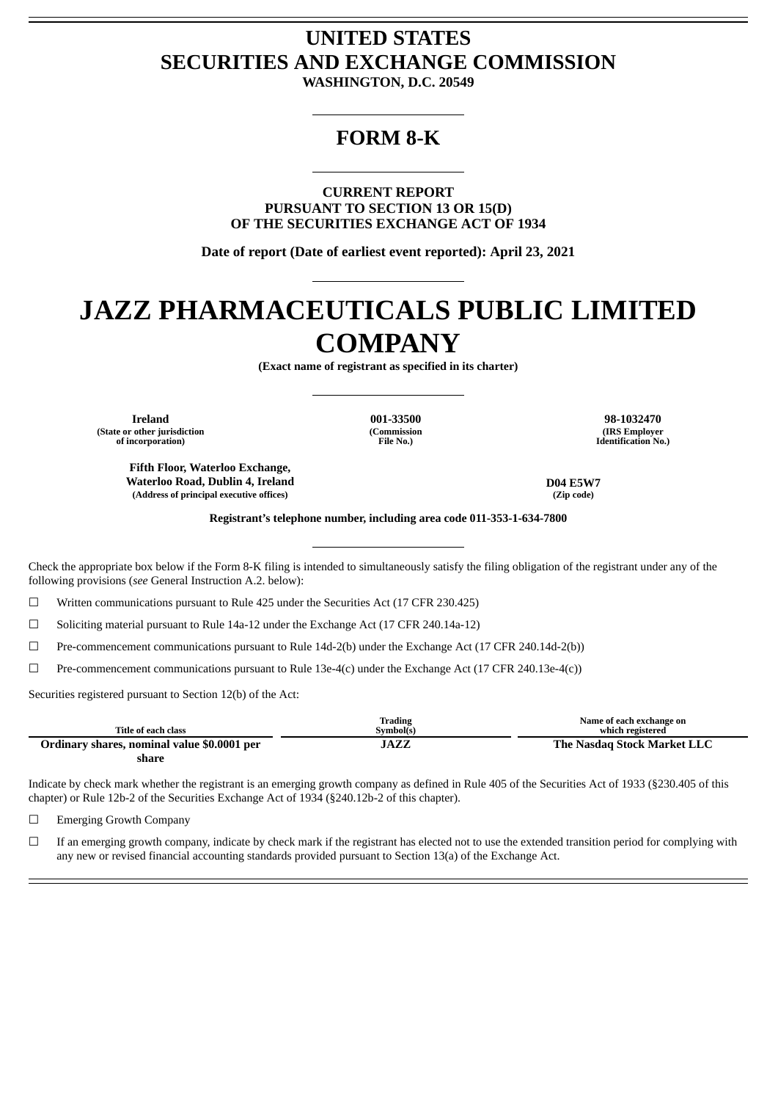## **UNITED STATES SECURITIES AND EXCHANGE COMMISSION**

**WASHINGTON, D.C. 20549**

### **FORM 8-K**

**CURRENT REPORT PURSUANT TO SECTION 13 OR 15(D) OF THE SECURITIES EXCHANGE ACT OF 1934**

**Date of report (Date of earliest event reported): April 23, 2021**

# **JAZZ PHARMACEUTICALS PUBLIC LIMITED COMPANY**

**(Exact name of registrant as specified in its charter)**

**(State or other jurisdiction of incorporation)**

**(Commission File No.)**

**Ireland 001-33500 98-1032470 (IRS Employer Identification No.)**

**Fifth Floor, Waterloo Exchange, Waterloo Road, Dublin 4, Ireland D04 E5W7 (Address of principal executive offices) (Zip code)**

**Registrant's telephone number, including area code 011-353-1-634-7800**

Check the appropriate box below if the Form 8-K filing is intended to simultaneously satisfy the filing obligation of the registrant under any of the following provisions (*see* General Instruction A.2. below):

☐ Written communications pursuant to Rule 425 under the Securities Act (17 CFR 230.425)

 $\Box$  Soliciting material pursuant to Rule 14a-12 under the Exchange Act (17 CFR 240.14a-12)

☐ Pre-commencement communications pursuant to Rule 14d-2(b) under the Exchange Act (17 CFR 240.14d-2(b))

☐ Pre-commencement communications pursuant to Rule 13e-4(c) under the Exchange Act (17 CFR 240.13e-4(c))

Securities registered pursuant to Section 12(b) of the Act:

|                                             | <b>Trading</b> | Name of each exchange on    |
|---------------------------------------------|----------------|-----------------------------|
| Title of each class                         | Symbol(s)      | which registered            |
| Ordinary shares, nominal value \$0.0001 per | JAZZ           | The Nasdag Stock Market LLC |
| share                                       |                |                             |

Indicate by check mark whether the registrant is an emerging growth company as defined in Rule 405 of the Securities Act of 1933 (§230.405 of this chapter) or Rule 12b-2 of the Securities Exchange Act of 1934 (§240.12b-2 of this chapter).

☐ Emerging Growth Company

 $□$  If an emerging growth company, indicate by check mark if the registrant has elected not to use the extended transition period for complying with any new or revised financial accounting standards provided pursuant to Section 13(a) of the Exchange Act.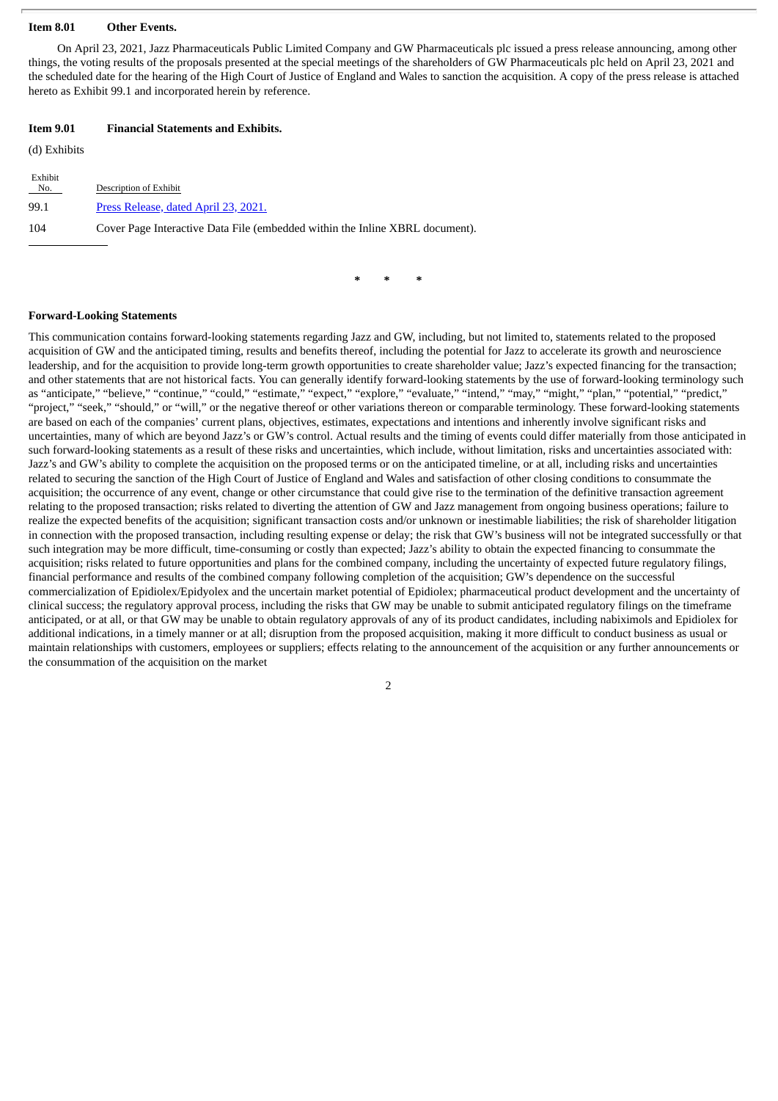#### **Item 8.01 Other Events.**

On April 23, 2021, Jazz Pharmaceuticals Public Limited Company and GW Pharmaceuticals plc issued a press release announcing, among other things, the voting results of the proposals presented at the special meetings of the shareholders of GW Pharmaceuticals plc held on April 23, 2021 and the scheduled date for the hearing of the High Court of Justice of England and Wales to sanction the acquisition. A copy of the press release is attached hereto as Exhibit 99.1 and incorporated herein by reference.

#### **Item 9.01 Financial Statements and Exhibits.**

(d) Exhibits

| Exhibit<br>No. | Description of Exhibit                                                       |
|----------------|------------------------------------------------------------------------------|
| 99.1           | Press Release, dated April 23, 2021.                                         |
| 104            | Cover Page Interactive Data File (embedded within the Inline XBRL document). |

**\* \* \***

#### **Forward-Looking Statements**

This communication contains forward-looking statements regarding Jazz and GW, including, but not limited to, statements related to the proposed acquisition of GW and the anticipated timing, results and benefits thereof, including the potential for Jazz to accelerate its growth and neuroscience leadership, and for the acquisition to provide long-term growth opportunities to create shareholder value; Jazz's expected financing for the transaction; and other statements that are not historical facts. You can generally identify forward-looking statements by the use of forward-looking terminology such as "anticipate," "believe," "continue," "could," "estimate," "expect," "explore," "evaluate," "intend," "may," "might," "plan," "potential," "predict," "project," "seek," "should," or "will," or the negative thereof or other variations thereon or comparable terminology. These forward-looking statements are based on each of the companies' current plans, objectives, estimates, expectations and intentions and inherently involve significant risks and uncertainties, many of which are beyond Jazz's or GW's control. Actual results and the timing of events could differ materially from those anticipated in such forward-looking statements as a result of these risks and uncertainties, which include, without limitation, risks and uncertainties associated with: Jazz's and GW's ability to complete the acquisition on the proposed terms or on the anticipated timeline, or at all, including risks and uncertainties related to securing the sanction of the High Court of Justice of England and Wales and satisfaction of other closing conditions to consummate the acquisition; the occurrence of any event, change or other circumstance that could give rise to the termination of the definitive transaction agreement relating to the proposed transaction; risks related to diverting the attention of GW and Jazz management from ongoing business operations; failure to realize the expected benefits of the acquisition; significant transaction costs and/or unknown or inestimable liabilities; the risk of shareholder litigation in connection with the proposed transaction, including resulting expense or delay; the risk that GW's business will not be integrated successfully or that such integration may be more difficult, time-consuming or costly than expected; Jazz's ability to obtain the expected financing to consummate the acquisition; risks related to future opportunities and plans for the combined company, including the uncertainty of expected future regulatory filings, financial performance and results of the combined company following completion of the acquisition; GW's dependence on the successful commercialization of Epidiolex/Epidyolex and the uncertain market potential of Epidiolex; pharmaceutical product development and the uncertainty of clinical success; the regulatory approval process, including the risks that GW may be unable to submit anticipated regulatory filings on the timeframe anticipated, or at all, or that GW may be unable to obtain regulatory approvals of any of its product candidates, including nabiximols and Epidiolex for additional indications, in a timely manner or at all; disruption from the proposed acquisition, making it more difficult to conduct business as usual or maintain relationships with customers, employees or suppliers; effects relating to the announcement of the acquisition or any further announcements or the consummation of the acquisition on the market

2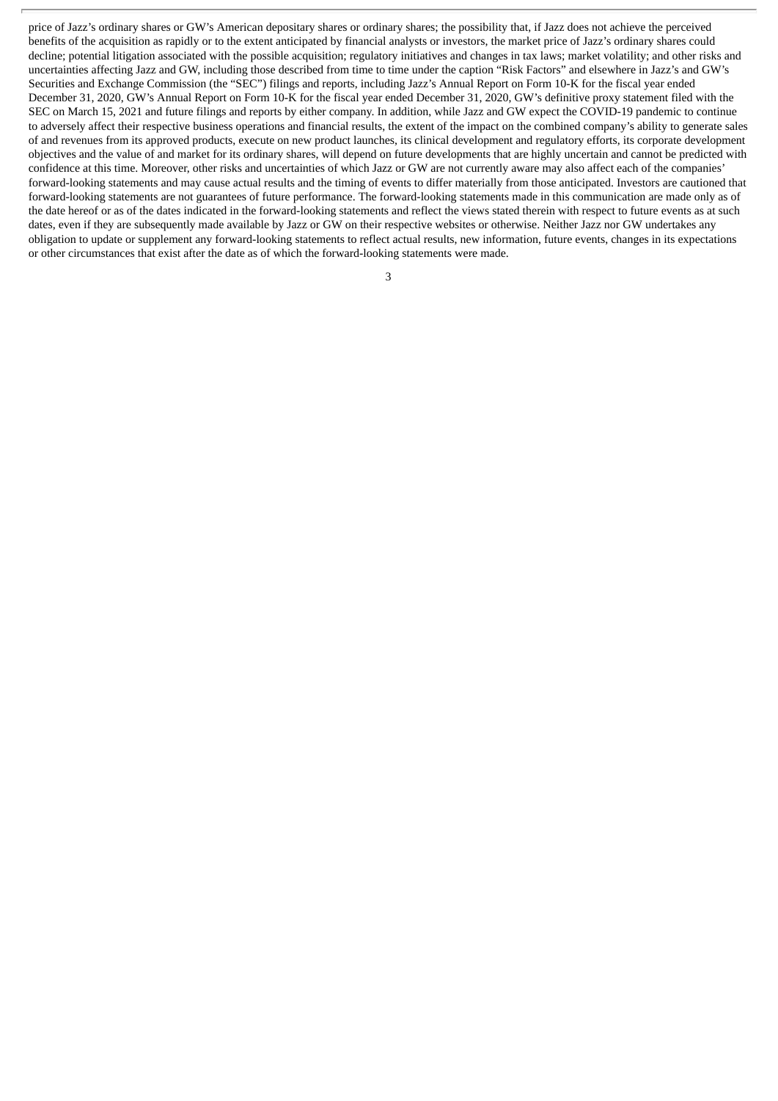price of Jazz's ordinary shares or GW's American depositary shares or ordinary shares; the possibility that, if Jazz does not achieve the perceived benefits of the acquisition as rapidly or to the extent anticipated by financial analysts or investors, the market price of Jazz's ordinary shares could decline; potential litigation associated with the possible acquisition; regulatory initiatives and changes in tax laws; market volatility; and other risks and uncertainties affecting Jazz and GW, including those described from time to time under the caption "Risk Factors" and elsewhere in Jazz's and GW's Securities and Exchange Commission (the "SEC") filings and reports, including Jazz's Annual Report on Form 10-K for the fiscal year ended December 31, 2020, GW's Annual Report on Form 10-K for the fiscal year ended December 31, 2020, GW's definitive proxy statement filed with the SEC on March 15, 2021 and future filings and reports by either company. In addition, while Jazz and GW expect the COVID-19 pandemic to continue to adversely affect their respective business operations and financial results, the extent of the impact on the combined company's ability to generate sales of and revenues from its approved products, execute on new product launches, its clinical development and regulatory efforts, its corporate development objectives and the value of and market for its ordinary shares, will depend on future developments that are highly uncertain and cannot be predicted with confidence at this time. Moreover, other risks and uncertainties of which Jazz or GW are not currently aware may also affect each of the companies' forward-looking statements and may cause actual results and the timing of events to differ materially from those anticipated. Investors are cautioned that forward-looking statements are not guarantees of future performance. The forward-looking statements made in this communication are made only as of the date hereof or as of the dates indicated in the forward-looking statements and reflect the views stated therein with respect to future events as at such dates, even if they are subsequently made available by Jazz or GW on their respective websites or otherwise. Neither Jazz nor GW undertakes any obligation to update or supplement any forward-looking statements to reflect actual results, new information, future events, changes in its expectations or other circumstances that exist after the date as of which the forward-looking statements were made.

3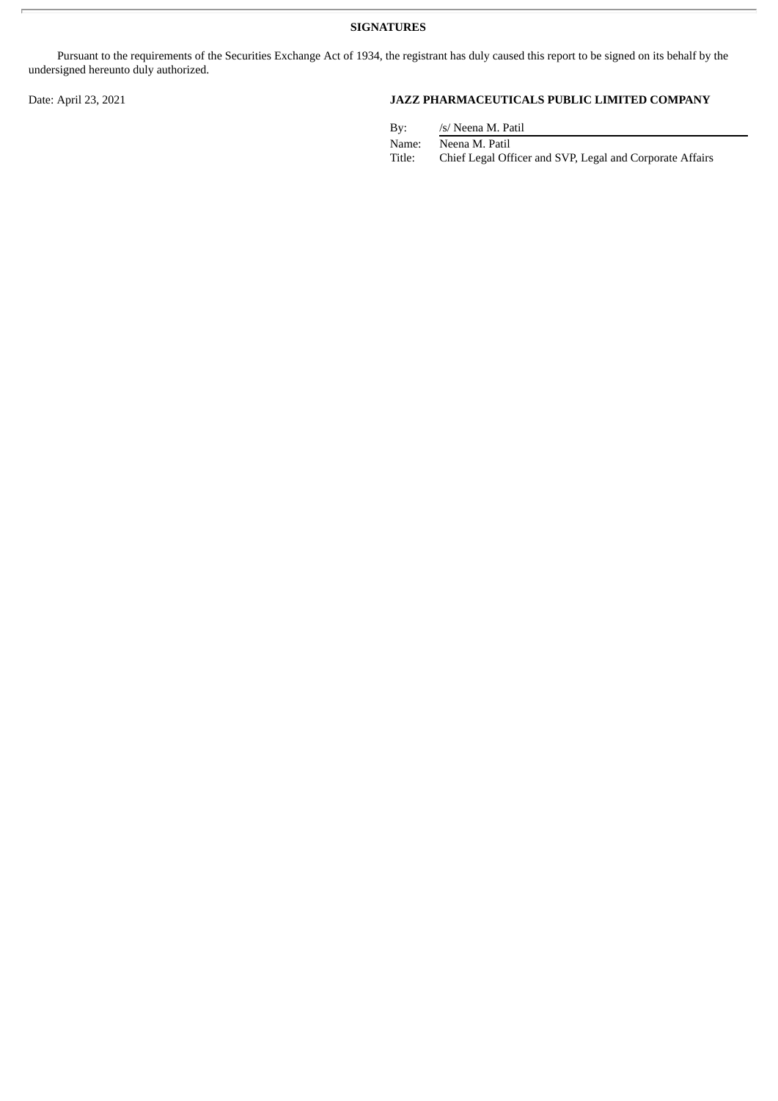**SIGNATURES**

Pursuant to the requirements of the Securities Exchange Act of 1934, the registrant has duly caused this report to be signed on its behalf by the undersigned hereunto duly authorized.

#### Date: April 23, 2021 **JAZZ PHARMACEUTICALS PUBLIC LIMITED COMPANY**

| By:    | /s/ Neena M. Patil                                       |
|--------|----------------------------------------------------------|
| Name:  | Neena M. Patil                                           |
| Title: | Chief Legal Officer and SVP, Legal and Corporate Affairs |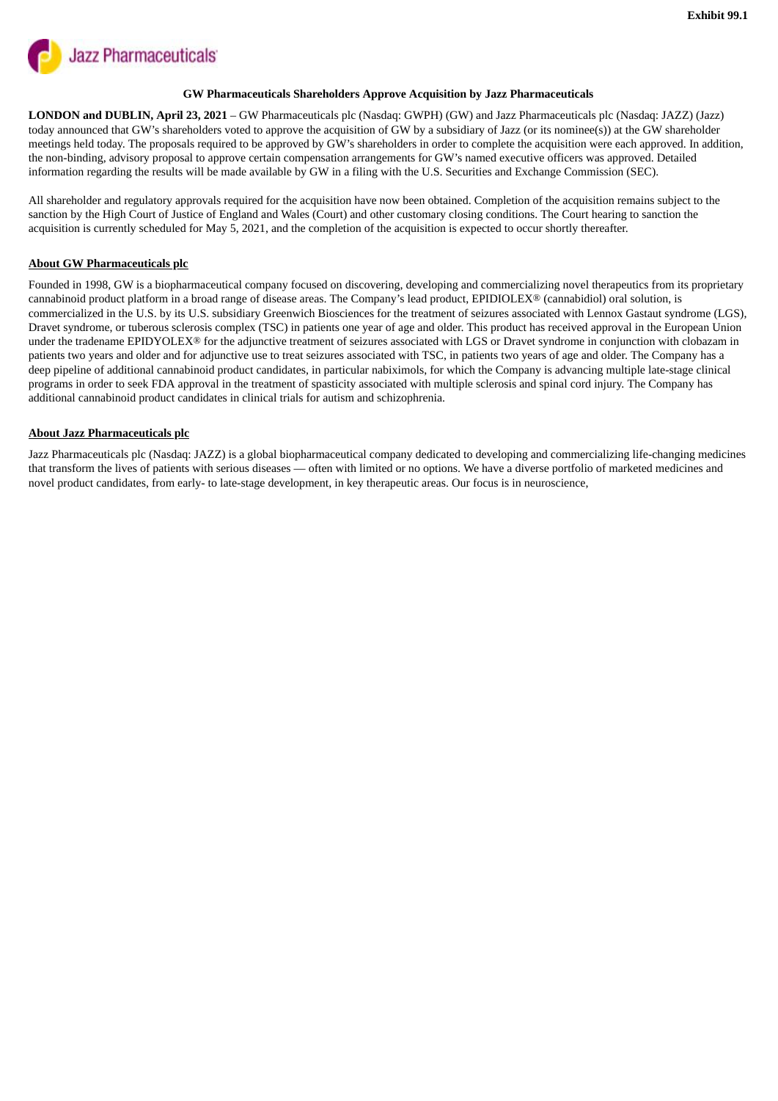<span id="page-4-0"></span>

#### **GW Pharmaceuticals Shareholders Approve Acquisition by Jazz Pharmaceuticals**

**LONDON and DUBLIN, April 23, 2021** *–* GW Pharmaceuticals plc (Nasdaq: GWPH) (GW) and Jazz Pharmaceuticals plc (Nasdaq: JAZZ) (Jazz) today announced that GW's shareholders voted to approve the acquisition of GW by a subsidiary of Jazz (or its nominee(s)) at the GW shareholder meetings held today. The proposals required to be approved by GW's shareholders in order to complete the acquisition were each approved. In addition, the non-binding, advisory proposal to approve certain compensation arrangements for GW's named executive officers was approved. Detailed information regarding the results will be made available by GW in a filing with the U.S. Securities and Exchange Commission (SEC).

All shareholder and regulatory approvals required for the acquisition have now been obtained. Completion of the acquisition remains subject to the sanction by the High Court of Justice of England and Wales (Court) and other customary closing conditions. The Court hearing to sanction the acquisition is currently scheduled for May 5, 2021, and the completion of the acquisition is expected to occur shortly thereafter.

#### **About GW Pharmaceuticals plc**

Founded in 1998, GW is a biopharmaceutical company focused on discovering, developing and commercializing novel therapeutics from its proprietary cannabinoid product platform in a broad range of disease areas. The Company's lead product, EPIDIOLEX® (cannabidiol) oral solution, is commercialized in the U.S. by its U.S. subsidiary Greenwich Biosciences for the treatment of seizures associated with Lennox Gastaut syndrome (LGS), Dravet syndrome, or tuberous sclerosis complex (TSC) in patients one year of age and older. This product has received approval in the European Union under the tradename EPIDYOLEX<sup>®</sup> for the adjunctive treatment of seizures associated with LGS or Dravet syndrome in conjunction with clobazam in patients two years and older and for adjunctive use to treat seizures associated with TSC, in patients two years of age and older. The Company has a deep pipeline of additional cannabinoid product candidates, in particular nabiximols, for which the Company is advancing multiple late-stage clinical programs in order to seek FDA approval in the treatment of spasticity associated with multiple sclerosis and spinal cord injury. The Company has additional cannabinoid product candidates in clinical trials for autism and schizophrenia.

#### **About Jazz Pharmaceuticals plc**

Jazz Pharmaceuticals plc (Nasdaq: JAZZ) is a global biopharmaceutical company dedicated to developing and commercializing life-changing medicines that transform the lives of patients with serious diseases — often with limited or no options. We have a diverse portfolio of marketed medicines and novel product candidates, from early- to late-stage development, in key therapeutic areas. Our focus is in neuroscience,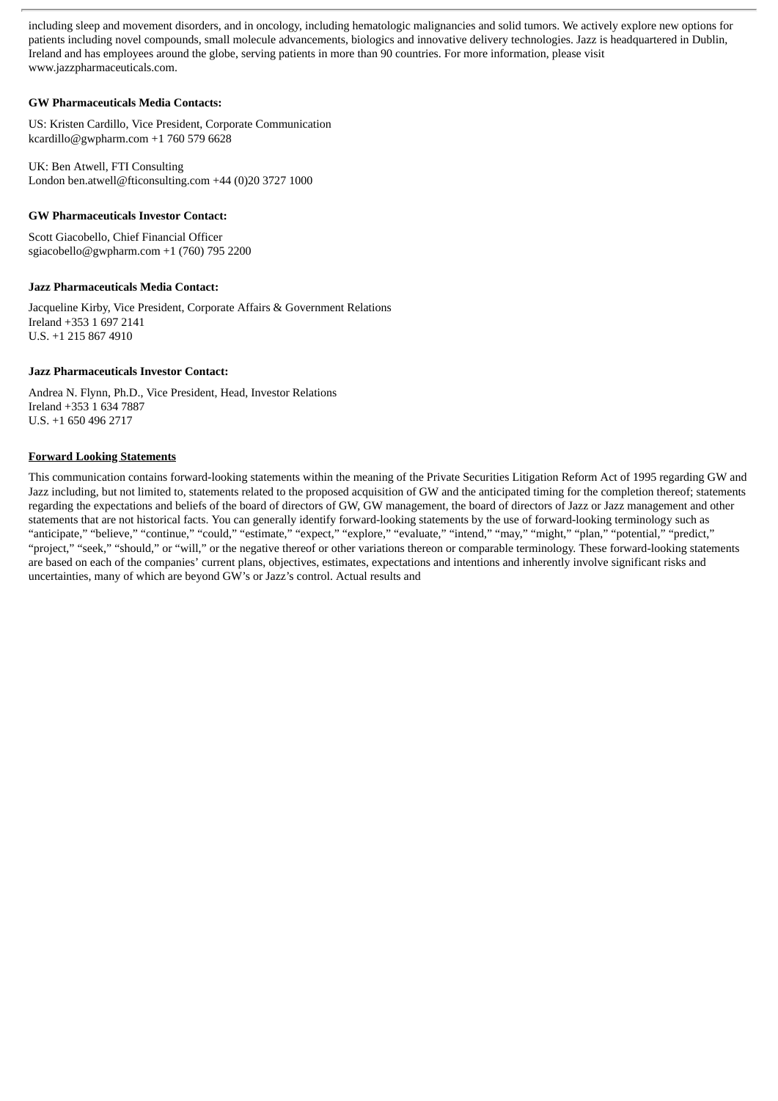including sleep and movement disorders, and in oncology, including hematologic malignancies and solid tumors. We actively explore new options for patients including novel compounds, small molecule advancements, biologics and innovative delivery technologies. Jazz is headquartered in Dublin, Ireland and has employees around the globe, serving patients in more than 90 countries. For more information, please visit www.jazzpharmaceuticals.com.

#### **GW Pharmaceuticals Media Contacts:**

US: Kristen Cardillo, Vice President, Corporate Communication kcardillo@gwpharm.com +1 760 579 6628

UK: Ben Atwell, FTI Consulting London ben.atwell@fticonsulting.com +44 (0)20 3727 1000

#### **GW Pharmaceuticals Investor Contact:**

Scott Giacobello, Chief Financial Officer sgiacobello@gwpharm.com +1 (760) 795 2200

#### **Jazz Pharmaceuticals Media Contact:**

Jacqueline Kirby, Vice President, Corporate Affairs & Government Relations Ireland +353 1 697 2141 U.S. +1 215 867 4910

#### **Jazz Pharmaceuticals Investor Contact:**

Andrea N. Flynn, Ph.D., Vice President, Head, Investor Relations Ireland +353 1 634 7887 U.S. +1 650 496 2717

#### **Forward Looking Statements**

This communication contains forward-looking statements within the meaning of the Private Securities Litigation Reform Act of 1995 regarding GW and Jazz including, but not limited to, statements related to the proposed acquisition of GW and the anticipated timing for the completion thereof; statements regarding the expectations and beliefs of the board of directors of GW, GW management, the board of directors of Jazz or Jazz management and other statements that are not historical facts. You can generally identify forward-looking statements by the use of forward-looking terminology such as "anticipate," "believe," "continue," "could," "estimate," "expect," "explore," "evaluate," "intend," "may," "might," "plan," "potential," "predict," "project," "seek," "should," or "will," or the negative thereof or other variations thereon or comparable terminology. These forward-looking statements are based on each of the companies' current plans, objectives, estimates, expectations and intentions and inherently involve significant risks and uncertainties, many of which are beyond GW's or Jazz's control. Actual results and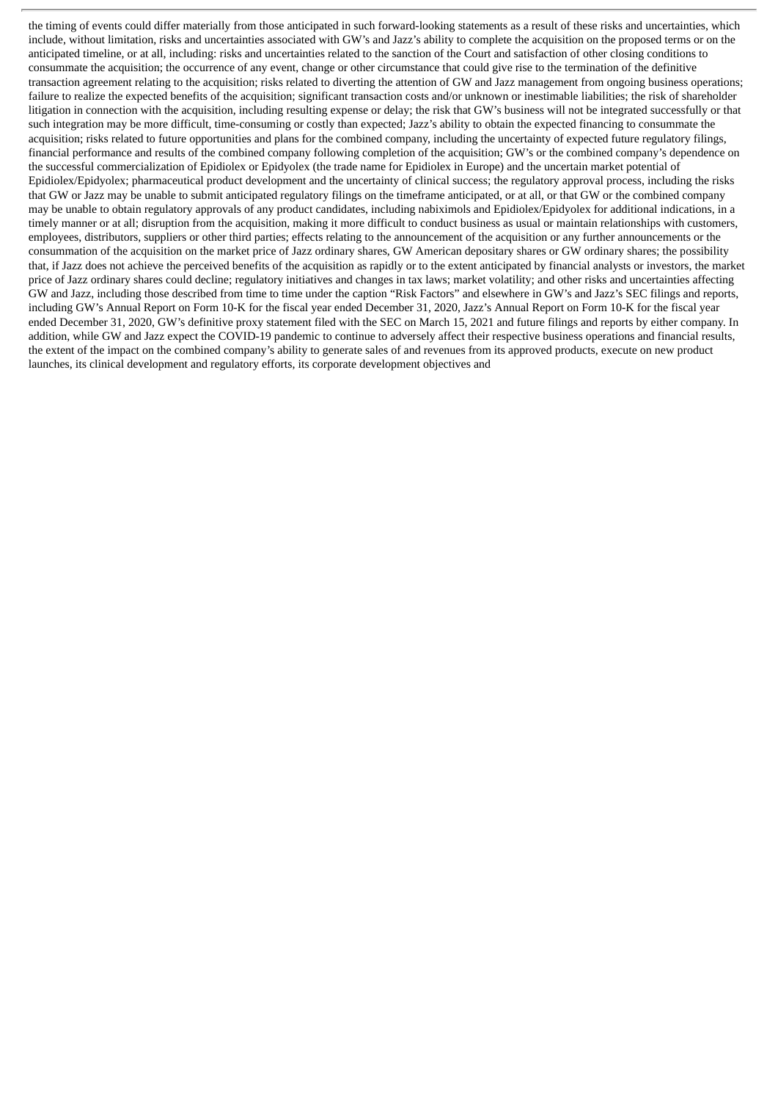the timing of events could differ materially from those anticipated in such forward-looking statements as a result of these risks and uncertainties, which include, without limitation, risks and uncertainties associated with GW's and Jazz's ability to complete the acquisition on the proposed terms or on the anticipated timeline, or at all, including: risks and uncertainties related to the sanction of the Court and satisfaction of other closing conditions to consummate the acquisition; the occurrence of any event, change or other circumstance that could give rise to the termination of the definitive transaction agreement relating to the acquisition; risks related to diverting the attention of GW and Jazz management from ongoing business operations; failure to realize the expected benefits of the acquisition; significant transaction costs and/or unknown or inestimable liabilities; the risk of shareholder litigation in connection with the acquisition, including resulting expense or delay; the risk that GW's business will not be integrated successfully or that such integration may be more difficult, time-consuming or costly than expected; Jazz's ability to obtain the expected financing to consummate the acquisition; risks related to future opportunities and plans for the combined company, including the uncertainty of expected future regulatory filings, financial performance and results of the combined company following completion of the acquisition; GW's or the combined company's dependence on the successful commercialization of Epidiolex or Epidyolex (the trade name for Epidiolex in Europe) and the uncertain market potential of Epidiolex/Epidyolex; pharmaceutical product development and the uncertainty of clinical success; the regulatory approval process, including the risks that GW or Jazz may be unable to submit anticipated regulatory filings on the timeframe anticipated, or at all, or that GW or the combined company may be unable to obtain regulatory approvals of any product candidates, including nabiximols and Epidiolex/Epidyolex for additional indications, in a timely manner or at all; disruption from the acquisition, making it more difficult to conduct business as usual or maintain relationships with customers, employees, distributors, suppliers or other third parties; effects relating to the announcement of the acquisition or any further announcements or the consummation of the acquisition on the market price of Jazz ordinary shares, GW American depositary shares or GW ordinary shares; the possibility that, if Jazz does not achieve the perceived benefits of the acquisition as rapidly or to the extent anticipated by financial analysts or investors, the market price of Jazz ordinary shares could decline; regulatory initiatives and changes in tax laws; market volatility; and other risks and uncertainties affecting GW and Jazz, including those described from time to time under the caption "Risk Factors" and elsewhere in GW's and Jazz's SEC filings and reports, including GW's Annual Report on Form 10-K for the fiscal year ended December 31, 2020, Jazz's Annual Report on Form 10-K for the fiscal year ended December 31, 2020, GW's definitive proxy statement filed with the SEC on March 15, 2021 and future filings and reports by either company. In addition, while GW and Jazz expect the COVID-19 pandemic to continue to adversely affect their respective business operations and financial results, the extent of the impact on the combined company's ability to generate sales of and revenues from its approved products, execute on new product launches, its clinical development and regulatory efforts, its corporate development objectives and